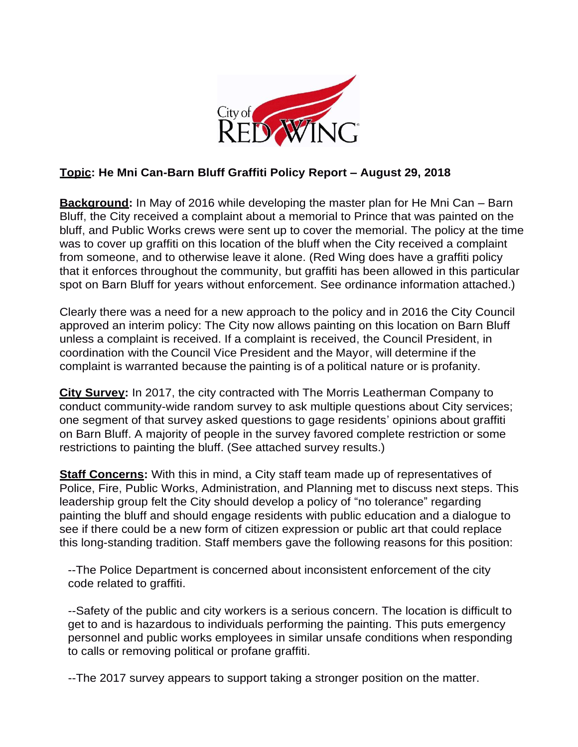

# **Topic: He Mni Can-Barn Bluff Graffiti Policy Report – August 29, 2018**

**Background:** In May of 2016 while developing the master plan for He Mni Can – Barn Bluff, the City received a complaint about a memorial to Prince that was painted on the bluff, and Public Works crews were sent up to cover the memorial. The policy at the time was to cover up graffiti on this location of the bluff when the City received a complaint from someone, and to otherwise leave it alone. (Red Wing does have a graffiti policy that it enforces throughout the community, but graffiti has been allowed in this particular spot on Barn Bluff for years without enforcement. See ordinance information attached.)

Clearly there was a need for a new approach to the policy and in 2016 the City Council approved an interim policy: The City now allows painting on this location on Barn Bluff unless a complaint is received. If a complaint is received, the Council President, in coordination with the Council Vice President and the Mayor, will determine if the complaint is warranted because the painting is of a political nature or is profanity.

**City Survey:** In 2017, the city contracted with The Morris Leatherman Company to conduct community-wide random survey to ask multiple questions about City services; one segment of that survey asked questions to gage residents' opinions about graffiti on Barn Bluff. A majority of people in the survey favored complete restriction or some restrictions to painting the bluff. (See attached survey results.)

**Staff Concerns:** With this in mind, a City staff team made up of representatives of Police, Fire, Public Works, Administration, and Planning met to discuss next steps. This leadership group felt the City should develop a policy of "no tolerance" regarding painting the bluff and should engage residents with public education and a dialogue to see if there could be a new form of citizen expression or public art that could replace this long-standing tradition. Staff members gave the following reasons for this position:

--The Police Department is concerned about inconsistent enforcement of the city code related to graffiti.

--Safety of the public and city workers is a serious concern. The location is difficult to get to and is hazardous to individuals performing the painting. This puts emergency personnel and public works employees in similar unsafe conditions when responding to calls or removing political or profane graffiti.

--The 2017 survey appears to support taking a stronger position on the matter.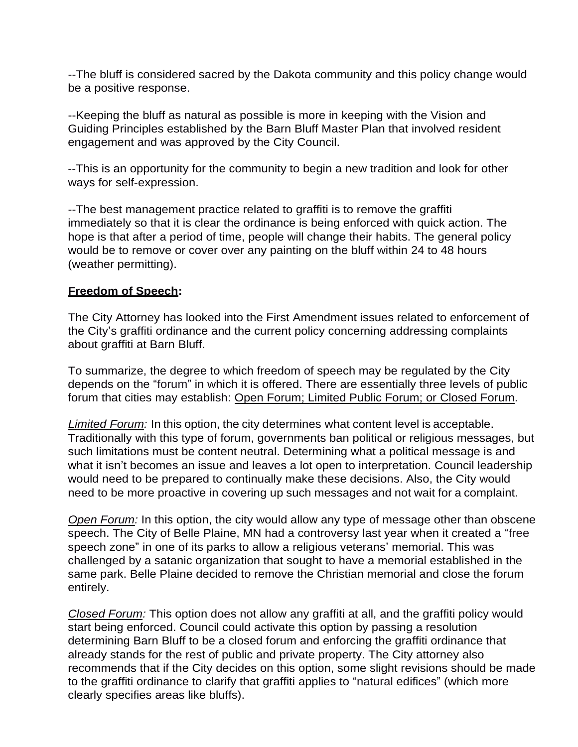--The bluff is considered sacred by the Dakota community and this policy change would be a positive response.

--Keeping the bluff as natural as possible is more in keeping with the Vision and Guiding Principles established by the Barn Bluff Master Plan that involved resident engagement and was approved by the City Council.

--This is an opportunity for the community to begin a new tradition and look for other ways for self-expression.

--The best management practice related to graffiti is to remove the graffiti immediately so that it is clear the ordinance is being enforced with quick action. The hope is that after a period of time, people will change their habits. The general policy would be to remove or cover over any painting on the bluff within 24 to 48 hours (weather permitting).

## **Freedom of Speech:**

The City Attorney has looked into the First Amendment issues related to enforcement of the City's graffiti ordinance and the current policy concerning addressing complaints about graffiti at Barn Bluff.

To summarize, the degree to which freedom of speech may be regulated by the City depends on the "forum" in which it is offered. There are essentially three levels of public forum that cities may establish: Open Forum; Limited Public Forum; or Closed Forum.

*Limited Forum:* In this option, the city determines what content level is acceptable. Traditionally with this type of forum, governments ban political or religious messages, but such limitations must be content neutral. Determining what a political message is and what it isn't becomes an issue and leaves a lot open to interpretation. Council leadership would need to be prepared to continually make these decisions. Also, the City would need to be more proactive in covering up such messages and not wait for a complaint.

*Open Forum:* In this option, the city would allow any type of message other than obscene speech. The City of Belle Plaine, MN had a controversy last year when it created a "free speech zone" in one of its parks to allow a religious veterans' memorial. This was challenged by a satanic organization that sought to have a memorial established in the same park. Belle Plaine decided to remove the Christian memorial and close the forum entirely.

*Closed Forum:* This option does not allow any graffiti at all, and the graffiti policy would start being enforced. Council could activate this option by passing a resolution determining Barn Bluff to be a closed forum and enforcing the graffiti ordinance that already stands for the rest of public and private property. The City attorney also recommends that if the City decides on this option, some slight revisions should be made to the graffiti ordinance to clarify that graffiti applies to "natural edifices" (which more clearly specifies areas like bluffs).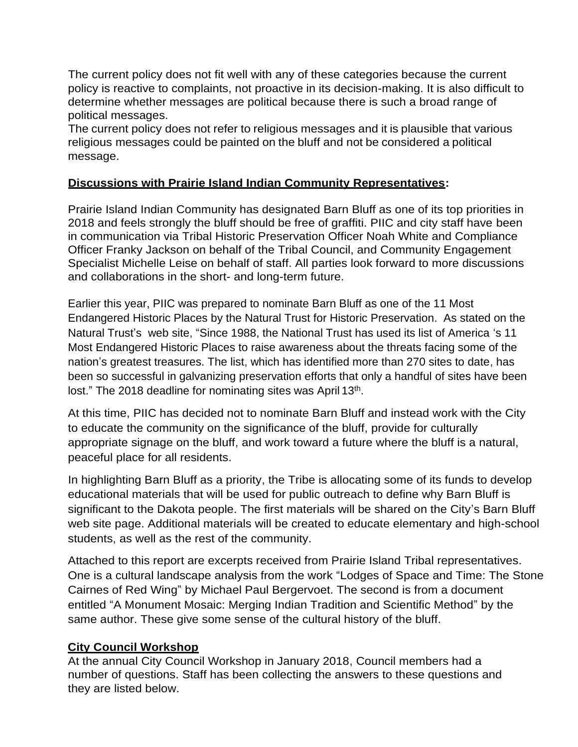The current policy does not fit well with any of these categories because the current policy is reactive to complaints, not proactive in its decision-making. It is also difficult to determine whether messages are political because there is such a broad range of political messages.

The current policy does not refer to religious messages and it is plausible that various religious messages could be painted on the bluff and not be considered a political message.

## **Discussions with Prairie Island Indian Community Representatives:**

Prairie Island Indian Community has designated Barn Bluff as one of its top priorities in 2018 and feels strongly the bluff should be free of graffiti. PIIC and city staff have been in communication via Tribal Historic Preservation Officer Noah White and Compliance Officer Franky Jackson on behalf of the Tribal Council, and Community Engagement Specialist Michelle Leise on behalf of staff. All parties look forward to more discussions and collaborations in the short- and long-term future.

Earlier this year, PIIC was prepared to nominate Barn Bluff as one of the 11 Most Endangered Historic Places by the Natural Trust for Historic Preservation. As stated on the Natural Trust's web site, "Since 1988, the National Trust has used its list of America 's 11 Most Endangered Historic Places to raise awareness about the threats facing some of the nation's greatest treasures. The list, which has identified more than 270 sites to date, has been so successful in galvanizing preservation efforts that only a handful of sites have been lost." The 2018 deadline for nominating sites was April 13<sup>th</sup>.

At this time, PIIC has decided not to nominate Barn Bluff and instead work with the City to educate the community on the significance of the bluff, provide for culturally appropriate signage on the bluff, and work toward a future where the bluff is a natural, peaceful place for all residents.

In highlighting Barn Bluff as a priority, the Tribe is allocating some of its funds to develop educational materials that will be used for public outreach to define why Barn Bluff is significant to the Dakota people. The first materials will be shared on the City's Barn Bluff web site page. Additional materials will be created to educate elementary and high-school students, as well as the rest of the community.

Attached to this report are excerpts received from Prairie Island Tribal representatives. One is a cultural landscape analysis from the work "Lodges of Space and Time: The Stone Cairnes of Red Wing" by Michael Paul Bergervoet. The second is from a document entitled "A Monument Mosaic: Merging Indian Tradition and Scientific Method" by the same author. These give some sense of the cultural history of the bluff.

## **City Council Workshop**

At the annual City Council Workshop in January 2018, Council members had a number of questions. Staff has been collecting the answers to these questions and they are listed below.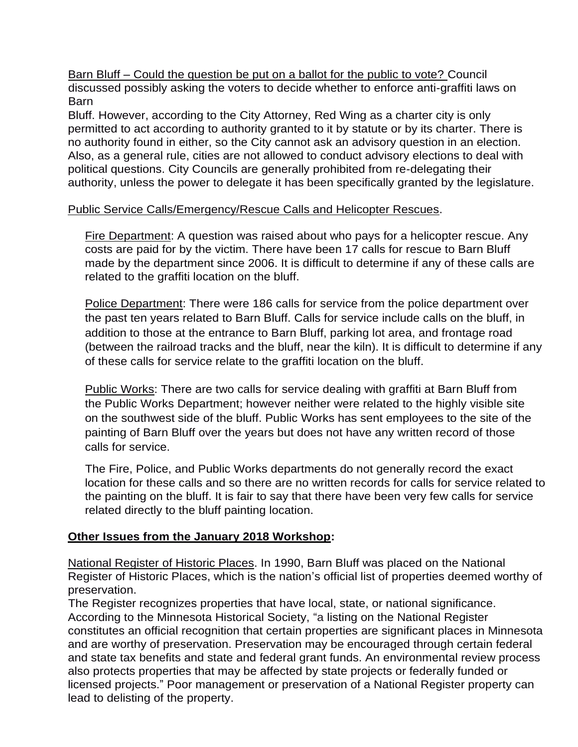Barn Bluff – Could the question be put on a ballot for the public to vote? Council discussed possibly asking the voters to decide whether to enforce anti-graffiti laws on Barn

Bluff. However, according to the City Attorney, Red Wing as a charter city is only permitted to act according to authority granted to it by statute or by its charter. There is no authority found in either, so the City cannot ask an advisory question in an election. Also, as a general rule, cities are not allowed to conduct advisory elections to deal with political questions. City Councils are generally prohibited from re-delegating their authority, unless the power to delegate it has been specifically granted by the legislature.

### Public Service Calls/Emergency/Rescue Calls and Helicopter Rescues.

Fire Department: A question was raised about who pays for a helicopter rescue. Any costs are paid for by the victim. There have been 17 calls for rescue to Barn Bluff made by the department since 2006. It is difficult to determine if any of these calls are related to the graffiti location on the bluff.

Police Department: There were 186 calls for service from the police department over the past ten years related to Barn Bluff. Calls for service include calls on the bluff, in addition to those at the entrance to Barn Bluff, parking lot area, and frontage road (between the railroad tracks and the bluff, near the kiln). It is difficult to determine if any of these calls for service relate to the graffiti location on the bluff.

Public Works: There are two calls for service dealing with graffiti at Barn Bluff from the Public Works Department; however neither were related to the highly visible site on the southwest side of the bluff. Public Works has sent employees to the site of the painting of Barn Bluff over the years but does not have any written record of those calls for service.

The Fire, Police, and Public Works departments do not generally record the exact location for these calls and so there are no written records for calls for service related to the painting on the bluff. It is fair to say that there have been very few calls for service related directly to the bluff painting location.

## **Other Issues from the January 2018 Workshop:**

National Register of Historic Places. In 1990, Barn Bluff was placed on the National Register of Historic Places, which is the nation's official list of properties deemed worthy of preservation.

The Register recognizes properties that have local, state, or national significance. According to the Minnesota Historical Society, "a listing on the National Register constitutes an official recognition that certain properties are significant places in Minnesota and are worthy of preservation. Preservation may be encouraged through certain federal and state tax benefits and state and federal grant funds. An environmental review process also protects properties that may be affected by state projects or federally funded or licensed projects." Poor management or preservation of a National Register property can lead to delisting of the property.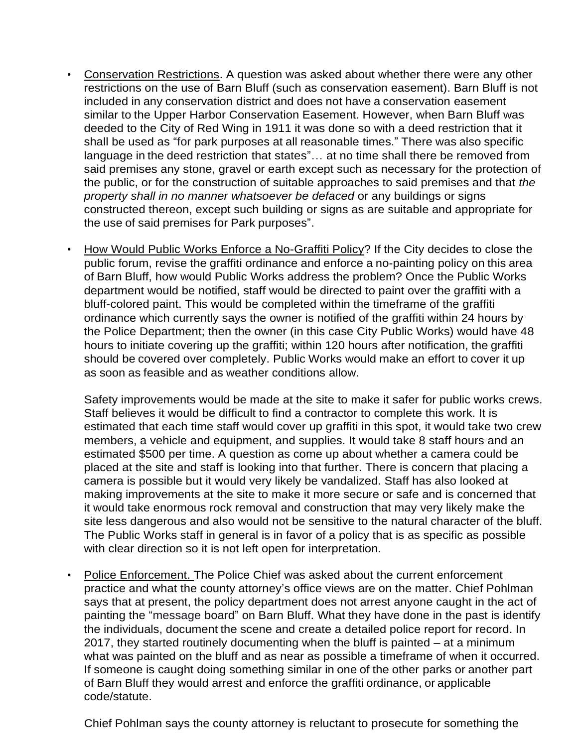- Conservation Restrictions. A question was asked about whether there were any other restrictions on the use of Barn Bluff (such as conservation easement). Barn Bluff is not included in any conservation district and does not have a conservation easement similar to the Upper Harbor Conservation Easement. However, when Barn Bluff was deeded to the City of Red Wing in 1911 it was done so with a deed restriction that it shall be used as "for park purposes at all reasonable times." There was also specific language in the deed restriction that states"… at no time shall there be removed from said premises any stone, gravel or earth except such as necessary for the protection of the public, or for the construction of suitable approaches to said premises and that *the property shall in no manner whatsoever be defaced* or any buildings or signs constructed thereon, except such building or signs as are suitable and appropriate for the use of said premises for Park purposes".
- How Would Public Works Enforce a No-Graffiti Policy? If the City decides to close the public forum, revise the graffiti ordinance and enforce a no-painting policy on this area of Barn Bluff, how would Public Works address the problem? Once the Public Works department would be notified, staff would be directed to paint over the graffiti with a bluff-colored paint. This would be completed within the timeframe of the graffiti ordinance which currently says the owner is notified of the graffiti within 24 hours by the Police Department; then the owner (in this case City Public Works) would have 48 hours to initiate covering up the graffiti; within 120 hours after notification, the graffiti should be covered over completely. Public Works would make an effort to cover it up as soon as feasible and as weather conditions allow.

Safety improvements would be made at the site to make it safer for public works crews. Staff believes it would be difficult to find a contractor to complete this work. It is estimated that each time staff would cover up graffiti in this spot, it would take two crew members, a vehicle and equipment, and supplies. It would take 8 staff hours and an estimated \$500 per time. A question as come up about whether a camera could be placed at the site and staff is looking into that further. There is concern that placing a camera is possible but it would very likely be vandalized. Staff has also looked at making improvements at the site to make it more secure or safe and is concerned that it would take enormous rock removal and construction that may very likely make the site less dangerous and also would not be sensitive to the natural character of the bluff. The Public Works staff in general is in favor of a policy that is as specific as possible with clear direction so it is not left open for interpretation.

• Police Enforcement. The Police Chief was asked about the current enforcement practice and what the county attorney's office views are on the matter. Chief Pohlman says that at present, the policy department does not arrest anyone caught in the act of painting the "message board" on Barn Bluff. What they have done in the past is identify the individuals, document the scene and create a detailed police report for record. In 2017, they started routinely documenting when the bluff is painted – at a minimum what was painted on the bluff and as near as possible a timeframe of when it occurred. If someone is caught doing something similar in one of the other parks or another part of Barn Bluff they would arrest and enforce the graffiti ordinance, or applicable code/statute.

Chief Pohlman says the county attorney is reluctant to prosecute for something the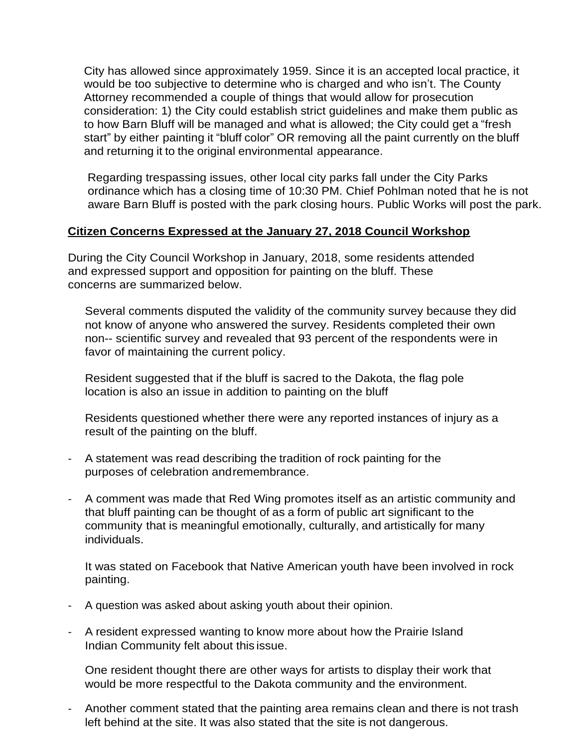City has allowed since approximately 1959. Since it is an accepted local practice, it would be too subjective to determine who is charged and who isn't. The County Attorney recommended a couple of things that would allow for prosecution consideration: 1) the City could establish strict guidelines and make them public as to how Barn Bluff will be managed and what is allowed; the City could get a "fresh start" by either painting it "bluff color" OR removing all the paint currently on the bluff and returning it to the original environmental appearance.

Regarding trespassing issues, other local city parks fall under the City Parks ordinance which has a closing time of 10:30 PM. Chief Pohlman noted that he is not aware Barn Bluff is posted with the park closing hours. Public Works will post the park.

#### **Citizen Concerns Expressed at the January 27, 2018 Council Workshop**

During the City Council Workshop in January, 2018, some residents attended and expressed support and opposition for painting on the bluff. These concerns are summarized below.

Several comments disputed the validity of the community survey because they did not know of anyone who answered the survey. Residents completed their own non-- scientific survey and revealed that 93 percent of the respondents were in favor of maintaining the current policy.

Resident suggested that if the bluff is sacred to the Dakota, the flag pole location is also an issue in addition to painting on the bluff

Residents questioned whether there were any reported instances of injury as a result of the painting on the bluff.

- A statement was read describing the tradition of rock painting for the purposes of celebration andremembrance.
- A comment was made that Red Wing promotes itself as an artistic community and that bluff painting can be thought of as a form of public art significant to the community that is meaningful emotionally, culturally, and artistically for many individuals.

It was stated on Facebook that Native American youth have been involved in rock painting.

- A question was asked about asking youth about their opinion.
- A resident expressed wanting to know more about how the Prairie Island Indian Community felt about this issue.

One resident thought there are other ways for artists to display their work that would be more respectful to the Dakota community and the environment.

- Another comment stated that the painting area remains clean and there is not trash left behind at the site. It was also stated that the site is not dangerous.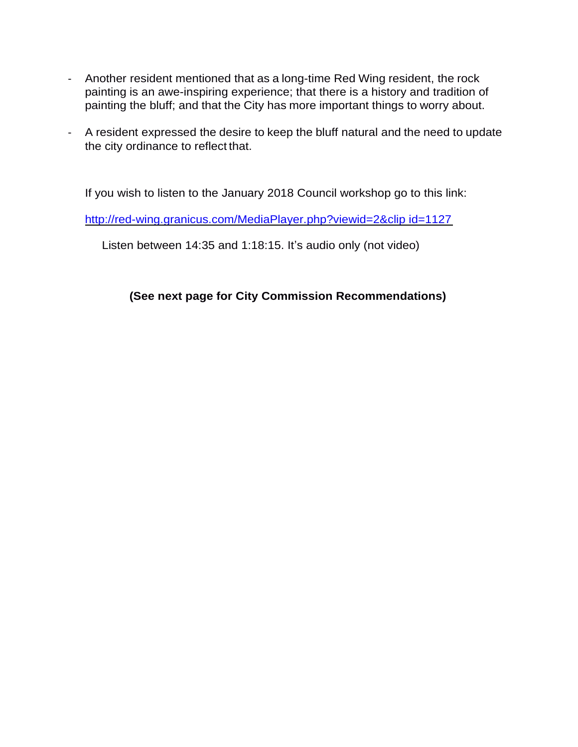- Another resident mentioned that as a long-time Red Wing resident, the rock painting is an awe-inspiring experience; that there is a history and tradition of painting the bluff; and that the City has more important things to worry about.
- A resident expressed the desire to keep the bluff natural and the need to update the city ordinance to reflect that.

If you wish to listen to the January 2018 Council workshop go to this link:

[http://red-wing.granicus.com/MediaPlayer.php?viewid=2&clip id=1127](http://red-wing.granicus.com/MediaPlayer.php?viewid=2&clipid=1127)

Listen between 14:35 and 1:18:15. It's audio only (not video)

**(See next page for City Commission Recommendations)**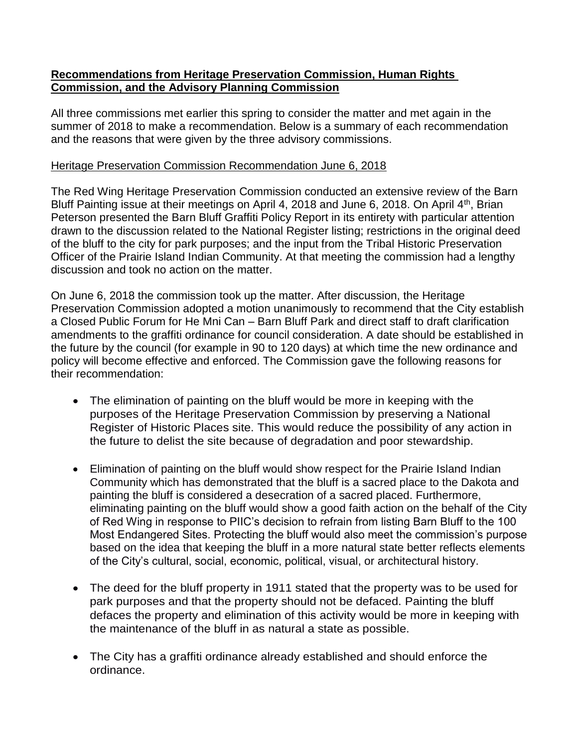### **Recommendations from Heritage Preservation Commission, Human Rights Commission, and the Advisory Planning Commission**

All three commissions met earlier this spring to consider the matter and met again in the summer of 2018 to make a recommendation. Below is a summary of each recommendation and the reasons that were given by the three advisory commissions.

### Heritage Preservation Commission Recommendation June 6, 2018

The Red Wing Heritage Preservation Commission conducted an extensive review of the Barn Bluff Painting issue at their meetings on April 4, 2018 and June 6, 2018. On April 4<sup>th</sup>, Brian Peterson presented the Barn Bluff Graffiti Policy Report in its entirety with particular attention drawn to the discussion related to the National Register listing; restrictions in the original deed of the bluff to the city for park purposes; and the input from the Tribal Historic Preservation Officer of the Prairie Island Indian Community. At that meeting the commission had a lengthy discussion and took no action on the matter.

On June 6, 2018 the commission took up the matter. After discussion, the Heritage Preservation Commission adopted a motion unanimously to recommend that the City establish a Closed Public Forum for He Mni Can – Barn Bluff Park and direct staff to draft clarification amendments to the graffiti ordinance for council consideration. A date should be established in the future by the council (for example in 90 to 120 days) at which time the new ordinance and policy will become effective and enforced. The Commission gave the following reasons for their recommendation:

- The elimination of painting on the bluff would be more in keeping with the purposes of the Heritage Preservation Commission by preserving a National Register of Historic Places site. This would reduce the possibility of any action in the future to delist the site because of degradation and poor stewardship.
- Elimination of painting on the bluff would show respect for the Prairie Island Indian Community which has demonstrated that the bluff is a sacred place to the Dakota and painting the bluff is considered a desecration of a sacred placed. Furthermore, eliminating painting on the bluff would show a good faith action on the behalf of the City of Red Wing in response to PIIC's decision to refrain from listing Barn Bluff to the 100 Most Endangered Sites. Protecting the bluff would also meet the commission's purpose based on the idea that keeping the bluff in a more natural state better reflects elements of the City's cultural, social, economic, political, visual, or architectural history.
- The deed for the bluff property in 1911 stated that the property was to be used for park purposes and that the property should not be defaced. Painting the bluff defaces the property and elimination of this activity would be more in keeping with the maintenance of the bluff in as natural a state as possible.
- The City has a graffiti ordinance already established and should enforce the ordinance.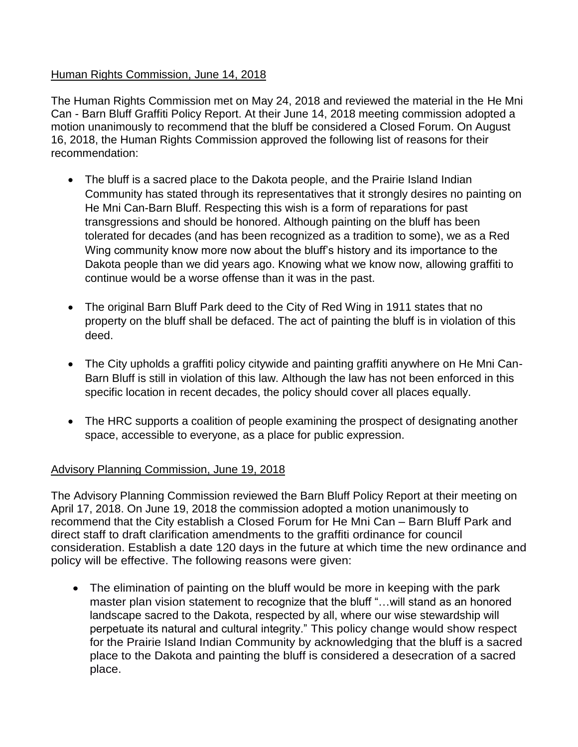## Human Rights Commission, June 14, 2018

The Human Rights Commission met on May 24, 2018 and reviewed the material in the He Mni Can - Barn Bluff Graffiti Policy Report. At their June 14, 2018 meeting commission adopted a motion unanimously to recommend that the bluff be considered a Closed Forum. On August 16, 2018, the Human Rights Commission approved the following list of reasons for their recommendation:

- The bluff is a sacred place to the Dakota people, and the Prairie Island Indian Community has stated through its representatives that it strongly desires no painting on He Mni Can-Barn Bluff. Respecting this wish is a form of reparations for past transgressions and should be honored. Although painting on the bluff has been tolerated for decades (and has been recognized as a tradition to some), we as a Red Wing community know more now about the bluff's history and its importance to the Dakota people than we did years ago. Knowing what we know now, allowing graffiti to continue would be a worse offense than it was in the past.
- The original Barn Bluff Park deed to the City of Red Wing in 1911 states that no property on the bluff shall be defaced. The act of painting the bluff is in violation of this deed.
- The City upholds a graffiti policy citywide and painting graffiti anywhere on He Mni Can-Barn Bluff is still in violation of this law. Although the law has not been enforced in this specific location in recent decades, the policy should cover all places equally.
- The HRC supports a coalition of people examining the prospect of designating another space, accessible to everyone, as a place for public expression.

## Advisory Planning Commission, June 19, 2018

The Advisory Planning Commission reviewed the Barn Bluff Policy Report at their meeting on April 17, 2018. On June 19, 2018 the commission adopted a motion unanimously to recommend that the City establish a Closed Forum for He Mni Can – Barn Bluff Park and direct staff to draft clarification amendments to the graffiti ordinance for council consideration. Establish a date 120 days in the future at which time the new ordinance and policy will be effective. The following reasons were given:

 The elimination of painting on the bluff would be more in keeping with the park master plan vision statement to recognize that the bluff "…will stand as an honored landscape sacred to the Dakota, respected by all, where our wise stewardship will perpetuate its natural and cultural integrity." This policy change would show respect for the Prairie Island Indian Community by acknowledging that the bluff is a sacred place to the Dakota and painting the bluff is considered a desecration of a sacred place.